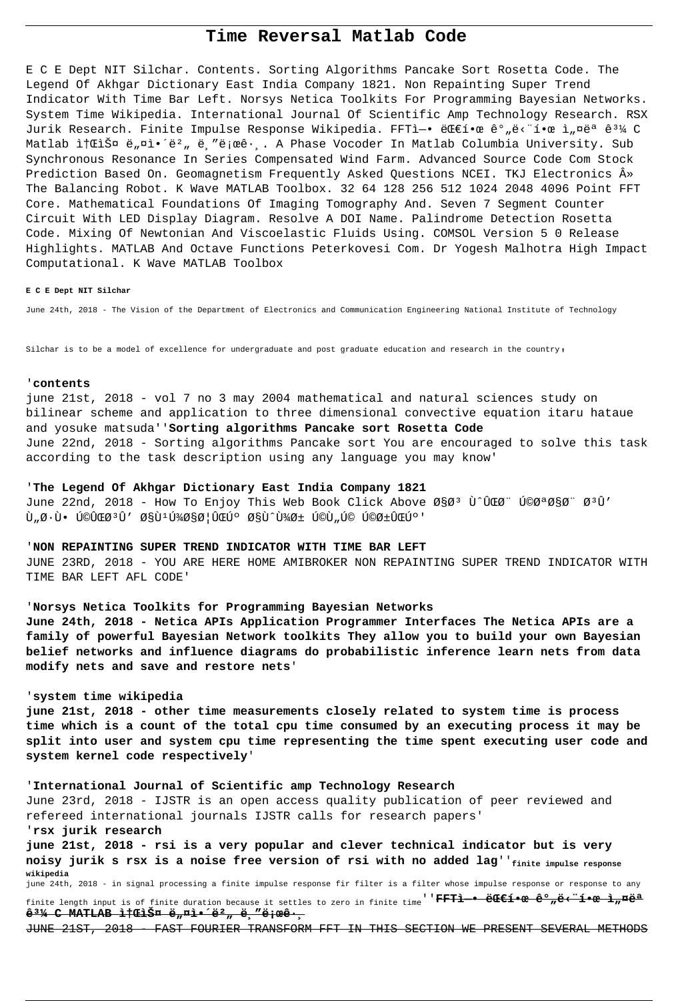# Time Reversal Matlab Code

E C E Dept NIT Silchar. Contents. Sorting Algorithms Pancake Sort Rosetta Code. The Legend Of Akhgar Dictionary East India Company 1821. Non Repainting Super Trend Indicator With Time Bar Left. Norsys Netica Toolkits For Programming Bayesian Networks. System Time Wikipedia. International Journal Of Scientific Amp Technology Research. RSX Jurik Research. Finite Impulse Response Wikipedia. FFTì-• ëCE한 꺄ë<"한 ì"¤ëª ê3¼ C Matlab ì†Cliš¤ ë"¤l•´ë?" ë "ë eê·,. A Phase Vocoder In Matlab Columbia University. Sub Synchronous Resonance In Series Compensated Wind Farm. Advanced Source Code Com Stock Prediction Based On. Geomagnetism Frequently Asked Questions NCEI. TKJ Electronics  $\hat{A}$ » The Balancing Robot. K Wave MATLAB Toolbox. 32 64 128 256 512 1024 2048 4096 Point FFT Core. Mathematical Foundations Of Imaging Tomography And. Seven 7 Segment Counter Circuit With LED Display Diagram. Resolve A DOI Name. Palindrome Detection Rosetta Code. Mixing Of Newtonian And Viscoelastic Fluids Using. COMSOL Version 5 0 Release Highlights. MATLAB And Octave Functions Peterkovesi Com. Dr Yogesh Malhotra High Impact Computational. K Wave MATLAB Toolbox

#### E C E Dept NIT Silchar

June 24th, 2018 - The Vision of the Department of Electronics and Communication Engineering National Institute of Technology

Silchar is to be a model of excellence for undergraduate and post graduate education and research in the country,

### 'contents

june 21st, 2018 - vol 7 no 3 may 2004 mathematical and natural sciences study on bilinear scheme and application to three dimensional convective equation itaru hataue and yosuke matsuda''Sorting algorithms Pancake sort Rosetta Code June 22nd, 2018 - Sorting algorithms Pancake sort You are encouraged to solve this task according to the task description using any language you may know'

### 'The Legend Of Akhgar Dictionary East India Company 1821

June 22nd, 2018 - How To Enjoy This Web Book Click Above اØ<sup>3</sup> Ù^ÛCØ" کتاØ" Ø<sup>3</sup>Û' Ù"طٕ کیتÛ′ ا٪ھائیڰ اÙ^پر Ú©Ù"Ú© کریڰ'

#### 'NON REPAINTING SUPER TREND INDICATOR WITH TIME BAR LEFT

JUNE 23RD, 2018 - YOU ARE HERE HOME AMIBROKER NON REPAINTING SUPER TREND INDICATOR WITH TIME BAR LEFT AFL CODE'

## 'Norsys Netica Toolkits for Programming Bayesian Networks

June 24th, 2018 - Netica APIs Application Programmer Interfaces The Netica APIs are a family of powerful Bayesian Network toolkits They allow you to build your own Bayesian belief networks and influence diagrams do probabilistic inference learn nets from data modify nets and save and restore nets'

#### 'system time wikipedia

june 21st, 2018 - other time measurements closely related to system time is process time which is a count of the total cpu time consumed by an executing process it may be split into user and system cpu time representing the time spent executing user code and system kernel code respectively'

'International Journal of Scientific amp Technology Research June 23rd, 2018 - IJSTR is an open access quality publication of peer reviewed and refereed international journals IJSTR calls for research papers' 'rsx jurik research june 21st, 2018 - rsi is a very popular and clever technical indicator but is very noisy jurik s rsx is a noise free version of rsi with no added lag' finite impulse response

wikipedia june 24th, 2018 - in signal processing a finite impulse response fir filter is a filter whose impulse response or response to any finite length input is of finite duration because it settles to zero in finite time<sup>''</sup>FFTi—● 대í●œ 꺄ë‹"í●œ ì"¤ëª  $\frac{1}{2}$ <sup>31</sup>/<sub>4</sub> C MATLAB  $\frac{1}{2}$ †ŒiФ ë<sub>n</sub>¤i•´ë<sup>2</sup>, ë, "ë i æê·

JUNE 21ST. 2018 FAST FOURIER TRANSFORM FFT IN THIS SECTION WE PRESENT SEVERAL METHODS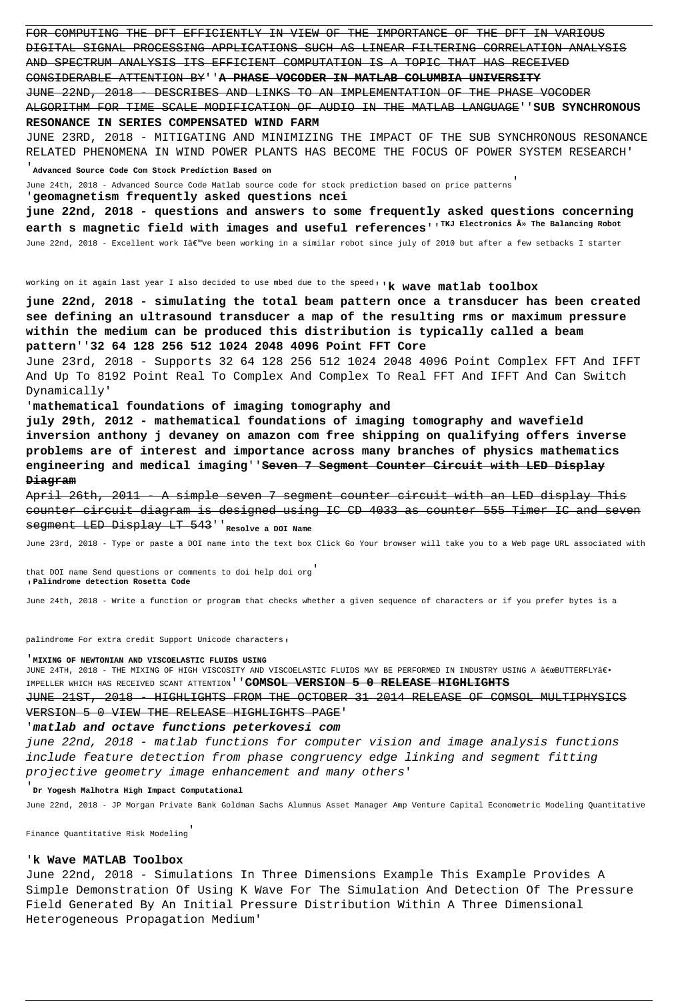FOR COMPUTING THE DFT EFFICIENTLY IN VIEW OF THE IMPORTANCE OF THE DFT IN VARIOUS DIGITAL SIGNAL PROCESSING APPLICATIONS SUCH AS LINEAR FILTERING CORRELATION ANALYSIS AND SPECTRUM ANALYSIS ITS EFFICIENT COMPUTATION IS A TOPIC THAT HAS RECEIVED CONSIDERABLE ATTENTION BY''**A PHASE VOCODER IN MATLAB COLUMBIA UNIVERSITY** JUNE 22ND, 2018 - DESCRIBES AND LINKS TO AN IMPLEMENTATION OF THE PHASE VOCODER ALGORITHM FOR TIME SCALE MODIFICATION OF AUDIO IN THE MATLAB LANGUAGE''**SUB SYNCHRONOUS RESONANCE IN SERIES COMPENSATED WIND FARM** JUNE 23RD, 2018 - MITIGATING AND MINIMIZING THE IMPACT OF THE SUB SYNCHRONOUS RESONANCE RELATED PHENOMENA IN WIND POWER PLANTS HAS BECOME THE FOCUS OF POWER SYSTEM RESEARCH' '**Advanced Source Code Com Stock Prediction Based on**

June 24th, 2018 - Advanced Source Code Matlab source code for stock prediction based on price patterns'

'**geomagnetism frequently asked questions ncei**

**june 22nd, 2018 - questions and answers to some frequently asked questions concerning** earth s magnetic field with images and useful references'<sup>'TKJ Electronics  $\hat{A}^*$  The Balancing Robot</sup> June 22nd, 2018 - Excellent work I've been working in a similar robot since july of 2010 but after a few setbacks I starter

working on it again last year I also decided to use mbed due to the speed<sub>'</sub>'**k** wave matlab toolbox

**june 22nd, 2018 - simulating the total beam pattern once a transducer has been created see defining an ultrasound transducer a map of the resulting rms or maximum pressure within the medium can be produced this distribution is typically called a beam pattern**''**32 64 128 256 512 1024 2048 4096 Point FFT Core**

June 23rd, 2018 - Supports 32 64 128 256 512 1024 2048 4096 Point Complex FFT And IFFT And Up To 8192 Point Real To Complex And Complex To Real FFT And IFFT And Can Switch Dynamically'

'**mathematical foundations of imaging tomography and**

**july 29th, 2012 - mathematical foundations of imaging tomography and wavefield inversion anthony j devaney on amazon com free shipping on qualifying offers inverse problems are of interest and importance across many branches of physics mathematics engineering and medical imaging**''**Seven 7 Segment Counter Circuit with LED Display Diagram**

April 26th, 2011 - A simple seven 7 segment counter circuit with an LED display This counter circuit diagram is designed using IC CD 4033 as counter 555 Timer IC and seven segment LED Display LT 543''**Resolve a DOI Name**

June 23rd, 2018 - Type or paste a DOI name into the text box Click Go Your browser will take you to a Web page URL associated with

that DOI name Send questions or comments to doi help doi org' '**Palindrome detection Rosetta Code**

June 24th, 2018 - Write a function or program that checks whether a given sequence of characters or if you prefer bytes is a

palindrome For extra credit Support Unicode characters,

#### '**MIXING OF NEWTONIAN AND VISCOELASTIC FLUIDS USING**

JUNE 24TH, 2018 - THE MIXING OF HIGH VISCOSITY AND VISCOELASTIC FLUIDS MAY BE PERFORMED IN INDUSTRY USING A €œBUTTERFLY€. IMPELLER WHICH HAS RECEIVED SCANT ATTENTION''**COMSOL VERSION 5 0 RELEASE HIGHLIGHTS**

JUNE 21ST, 2018 - HIGHLIGHTS FROM THE OCTOBER 31 2014 RELEASE OF COMSOL MULTIPHYSICS VERSION 5 0 VIEW THE RELEASE HIGHLIGHTS PAGE'

### '**matlab and octave functions peterkovesi com**

june 22nd, 2018 - matlab functions for computer vision and image analysis functions include feature detection from phase congruency edge linking and segment fitting projective geometry image enhancement and many others'

'**Dr Yogesh Malhotra High Impact Computational**

June 22nd, 2018 - JP Morgan Private Bank Goldman Sachs Alumnus Asset Manager Amp Venture Capital Econometric Modeling Quantitative

Finance Quantitative Risk Modeling'

### '**k Wave MATLAB Toolbox**

June 22nd, 2018 - Simulations In Three Dimensions Example This Example Provides A Simple Demonstration Of Using K Wave For The Simulation And Detection Of The Pressure Field Generated By An Initial Pressure Distribution Within A Three Dimensional Heterogeneous Propagation Medium'